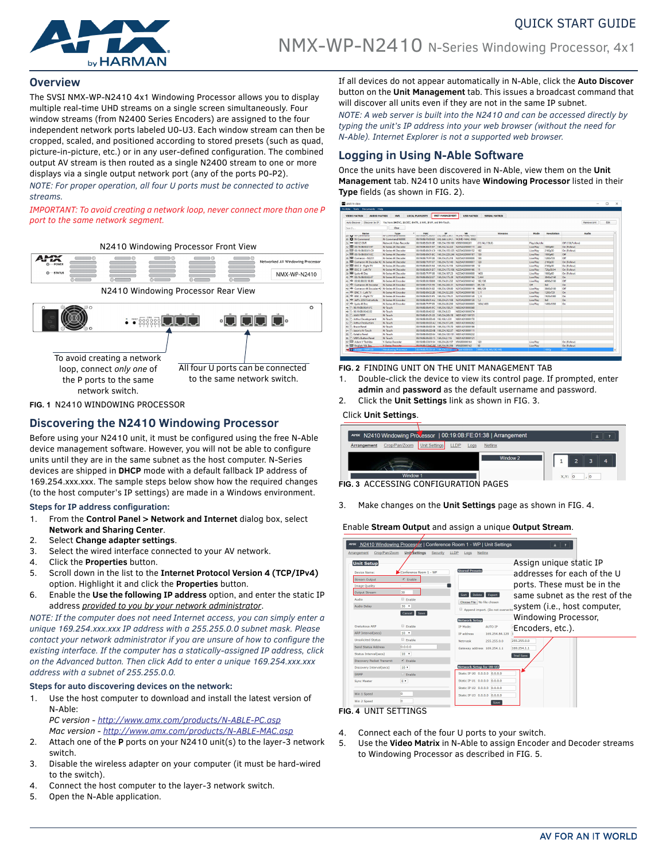

## **Overview**

The SVSI NMX-WP-N2410 4x1 Windowing Processor allows you to display multiple real-time UHD streams on a single screen simultaneously. Four window streams (from N2400 Series Encoders) are assigned to the four independent network ports labeled U0-U3. Each window stream can then be cropped, scaled, and positioned according to stored presets (such as quad, picture-in-picture, etc.) or in any user-defined configuration. The combined output AV stream is then routed as a single N2400 stream to one or more displays via a single output network port (any of the ports P0-P2).

*NOTE: For proper operation, all four U ports must be connected to active streams.*

*IMPORTANT: To avoid creating a network loop, never connect more than one P port to the same network segment.*



**FIG. 1** N2410 WINDOWING PROCESSOR

# **Discovering the N2410 Windowing Processor**

Before using your N2410 unit, it must be configured using the free N-Able device management software. However, you will not be able to configure units until they are in the same subnet as the host computer. N-Series devices are shipped in **DHCP** mode with a default fallback IP address of 169.254.xxx.xxx. The sample steps below show how the required changes (to the host computer's IP settings) are made in a Windows environment.

### **Steps for IP address configuration:**

- 1. From the **Control Panel > Network and Internet** dialog box, select **Network and Sharing Center**.
- 2. Select **Change adapter settings**.
- 3. Select the wired interface connected to your AV network.
- 4. Click the **Properties** button.
- 5. Scroll down in the list to the **Internet Protocol Version 4 (TCP/IPv4)** option. Highlight it and click the **Properties** button.
- 6. Enable the **Use the following IP address** option, and enter the static IP address *provided to you by your network administrator*.

*NOTE: If the computer does not need Internet access, you can simply enter a unique 169.254.xxx.xxx IP address with a 255.255.0.0 subnet mask. Please contact your network administrator if you are unsure of how to configure the existing interface. If the computer has a statically-assigned IP address, click on the Advanced button. Then click Add to enter a unique 169.254.xxx.xxx address with a subnet of 255.255.0.0.*

### **Steps for auto discovering devices on the network:**

1. Use the host computer to download and install the latest version of N-Able:

*PC version - http://www.amx.com/products/N-ABLE-PC.asp Mac version - http://www.amx.com/products/N-ABLE-MAC.asp*

- 2. Attach one of the **P** ports on your N2410 unit(s) to the layer-3 network switch.
- 3. Disable the wireless adapter on your computer (it must be hard-wired to the switch).
- 4. Connect the host computer to the layer-3 network switch.
- 5. Open the N-Able application.

If all devices do not appear automatically in N-Able, click the **Auto Discover** button on the **Unit Management** tab. This issues a broadcast command that will discover all units even if they are not in the same IP subnet.

QUICK START GUIDE

*NOTE: A web server is built into the N2410 and can be accessed directly by typing the unit's IP address into your web browser (without the need for N-Able). Internet Explorer is not a supported web browser.*

# **Logging in Using N-Able Software**

Once the units have been discovered in N-Able, view them on the **Unit Management** tab. N2410 units have **Windowing Processor** listed in their **Type** fields (as shown in FIG. 2).

| <b>VIDEO HATRIX</b><br><b>AUDIO HATRIX</b>                              | <b>M/R</b>                                                  | LOCAL PLAYLISTS                                | <b>UNIT MANAGEMENT</b> | <b>USB HATRIX</b>                                                                                         | <b>SERIAL MATRIX</b>   |                  |                |                    |     |
|-------------------------------------------------------------------------|-------------------------------------------------------------|------------------------------------------------|------------------------|-----------------------------------------------------------------------------------------------------------|------------------------|------------------|----------------|--------------------|-----|
| Discover by IP<br><b>Auto Discover</b>                                  | You have 24 ENC, 21 DEC, 0 ATR, 1 M/R, 2 WP, and 9 N-Touch. |                                                |                        |                                                                                                           |                        |                  |                | Remove Unit        | Fdt |
| Search                                                                  | Clear                                                       |                                                |                        |                                                                                                           |                        |                  |                |                    |     |
| <b>Name</b><br>22 The resomment                                         | Type<br>Tercomments resour                                  | HAC<br>۰                                       | 1P                     | <b>SM</b>                                                                                                 | <b>Streams</b>         | Mode             | Resolution     | Audio              |     |
| 30 D N-Command                                                          | N-Command N8000                                             |                                                |                        | USE PRODUCT COUNTY   1995-1895-1-39-2   INCONSTRUCTIONS<br>00:19:0B:F0:00:83 192.168.1.34 / NCMD-MAC-0083 |                        |                  |                |                    |     |
| 31 - N6123 DVR                                                          | Network Video Recorder                                      | 00:19:08:E0:01:0E 169.254.159.160 VDB010000281 |                        |                                                                                                           | (15.14).(136.0)        | Play, Idle, Idle |                | Off (136 Fellow)   |     |
| BB 001908-800197<br>12                                                  | N-Series 4K Decoder                                         |                                                |                        | 00:19:08:00:01:97 169.254.14.222 N225A020000111                                                           | 444                    | Live Play        | 1000060        | <b>On (Follow)</b> |     |
| CO 1908-8001.C9<br>w                                                    | N-Series AK Deceder                                         |                                                |                        | 001909-800103 169254-155-125 N2254020000152                                                               | 182                    | Live Play        | 2160e30        | On (Follow)        |     |
| C 001908-8001EC<br>14                                                   | N-Series 4K Decoder                                         |                                                |                        | 00:19:08:80:01:EC 169.254.229.244 N225A020000187                                                          | 139                    | Live Play        | 1080660        | Off                |     |
| <b>ED</b> Cameron - N2251<br>35                                         | <b>N-Series 4K Decoder</b>                                  |                                                |                        | 00:19:00:7F/FF:06 169.254.25.218 N225A010000006                                                           | 126                    | Live Play        | 1200x720       | Off                |     |
| $\overline{\mathbf{x}}$<br>ED Cameron 4K Decoder #2 N-Series 4K Decoder |                                                             | 00:19:08:7F:FF:07                              |                        | 169.254.73.140 N225A010000007                                                                             | 129                    | <b>Live Play</b> | 2160630        | On (Follow)        |     |
| 37 BB DEC 2 - Right TV                                                  | N-Series 4K Deceder                                         |                                                |                        | 00:19:08:80:01:94 169.254.15.155 N225A020000108                                                           | 12                     | Live Play        | 2160e30        | On (Follow)        |     |
| BB prc 1 - Left TV<br>n.                                                | N-Series 4K Decoder                                         |                                                |                        | 00:19:08:80:01:07 169.254.175.106 N225A020000166                                                          | 11                     | Live Play        | 720p59.94      | On (Follow)        |     |
| 39 BBB Lysle 4K Dec                                                     | N-Series 4K Decoder                                         |                                                |                        | 00:19:08:7F:FF:08 169.254.187.23 N225A010000008                                                           | 1435                   | <b>Live Play</b> | 1080p60        | On (Follow)        |     |
| 40 db 00:19:08:80:02:07                                                 | N-Series 4K Encoder                                         | 00:19:08:80:02:07                              | 169,254,175.39         | N215A020000166                                                                                            | 1.444                  | Live Play        | 3840x2160      | O <sub>n</sub>     |     |
| <b>401 00:00:00:00:10:05</b><br>41                                      | <b>N-Series 4K Encoder</b>                                  | 021908021886 169,254,81,232                    |                        | N215A020000142                                                                                            | 182.136                | Live Play        | 4096x2160      | Off                |     |
| 68b. Cameron 4K Focoder<br>42.                                          | <b>N-Series &amp;K Encoder</b>                              |                                                |                        | 00/19/08/37/01/55 169.254.243.31 N215A010000001                                                           | 85,139                 | off              | 0 <sup>o</sup> | 0 <sub>n</sub>     |     |
| elle Cameron 4K Encoder #2 N-Series 4K Encoder                          |                                                             | 00:19:08:80:01:82 169.254.129.80               |                        | N215A020000119                                                                                            | 998.129                | Live Play        | 3840x2160      | Off                |     |
| 40% ENC 1 - Left TV                                                     | N-Series 4K Encoder                                         | 00:19:08:80:02:28 169.254.52.200               |                        | N215A020000188                                                                                            | 1.11                   | Live Play        | 1280x720       | 0 <sub>n</sub>     |     |
| HR ENC 2 - Right TV                                                     | N-Series &K Encoder                                         |                                                |                        | 001909800165 169254.17921 N2154020000148                                                                  | 112                    | <b>Live Play</b> | 1920/1080      | 0 <sub>0</sub>     |     |
| elle Jeff's 2050 first article                                          | N-Series 4K Encoder                                         | 00:19:08:80:01:A2 169.254.31.108               |                        | N215A020000139                                                                                            | 1.2                    | Live Play        | 60             | On                 |     |
| 47 Mb Lysle 4K Enc                                                      | N-Series 4K Encoder                                         | 00:19:08:7F:FF:05 169.254.30.230               |                        | N215A010000005                                                                                            | 1434, 1435             | Live Play        | 1400x1050      | 0n                 |     |
| 0019080041/FC<br>48                                                     | N-Touch                                                     |                                                |                        | 0019/08/0041/FC 169.254.158.21 N832A010000368                                                             |                        |                  |                |                    |     |
| 001908004202<br><b>At</b>                                               | McTeach                                                     | 00:19:08:00:42:02 169.254.8.33                 |                        | N832A010000374                                                                                            |                        |                  |                |                    |     |
| AMX PBTP<br>50                                                          | N-Touch                                                     |                                                |                        | 00:19:08:81:01:33 169.254.245.18 N831A021100151                                                           |                        |                  |                |                    |     |
| <b>Arthur Development</b><br>\$1                                        | N-Touch                                                     | 00/19/08/00 3D:46 192.168.1.231                |                        | N631A010000170                                                                                            |                        |                  |                |                    |     |
| <b>Arthur Production</b><br>52                                          | N-Teuch                                                     | 00:19:08:00:3D:A2 169.254.57.245               |                        | N831A010000262                                                                                            |                        |                  |                |                    |     |
| <b>Bruce Panel</b><br>53                                                | N-Touch                                                     | 00:19:08:00:3D:56 169.254.170.70               |                        | N831A010000186                                                                                            |                        |                  |                |                    |     |
| Jacon's N-Touch<br>54                                                   | N-Touch                                                     |                                                |                        | 00:19:09:00:3D:08 169.254.162.97 N831A010000111                                                           |                        |                  |                |                    |     |
| Kaleb's Panel<br>55                                                     | N-Touch                                                     |                                                |                        | 00:19:08:00:3D:84 169.254.130.131 N831A010000232                                                          |                        |                  |                |                    |     |
| <b>MM's Button Panel</b><br>56                                          | N-Touch                                                     | 00:19:08:00:3D:15 169.254.2.116                |                        | N831A010000121                                                                                            |                        |                  |                |                    |     |
| Adam V Toshiba<br>57                                                    | V-Series Decoder                                            | 001908C00194 16925428.157                      |                        | VRADOCCO0164                                                                                              | 120                    | <b>Uve Play</b>  |                | On (Follow)        |     |
| El English 104 Dec<br><b>st</b>                                         | V-Series Decodes                                            | 001909.C0.6C/8E 169.254.38.206 VRA020005142    |                        |                                                                                                           | sa                     | Live Play        |                | On (Follow)        |     |
| Service Sordan - VWP120                                                 | <b>Windowing Processor</b>                                  | 00:19:08 FE:00:1A 169.254.57.57 - N/A010000126 |                        |                                                                                                           | 6998.(136.146.136.146) |                  | 1080p          | 6993               |     |

#### **FIG. 2** FINDING UNIT ON THE UNIT MANAGEMENT TAB

- 1. Double-click the device to view its control page. If prompted, enter **admin** and **password** as the default username and password.
- 2. Click the **Unit Settings** link as shown in FIG. 3.

### Click **Unit Settings**.

|                     |               |               |      |      | APR N2410 Windowing Processor   00:19:0B:FE:01:38   Arrangement |  |  |  |
|---------------------|---------------|---------------|------|------|-----------------------------------------------------------------|--|--|--|
| Arrangement         | Crop/Pan/Zoom | Unit Settings | LLDP | Logs | <b>Netlinx</b>                                                  |  |  |  |
|                     |               |               |      |      | Window <sub>2</sub>                                             |  |  |  |
| Window <sub>1</sub> |               |               |      |      | X, Y:                                                           |  |  |  |

**FIG. 3** ACCESSING CONFIGURATION PAGES

3. Make changes on the **Unit Settings** page as shown in [FIG. 4](#page-0-0).

Enable **Stream Output** and assign a unique **Output Stream**.

| <b>ANX</b>                   |                                  | N2410 Windowing Processor   Conference Room 1 - WP   Unit Settings | $2 \t 7$                       |
|------------------------------|----------------------------------|--------------------------------------------------------------------|--------------------------------|
| Crop/Pan/Zoom<br>Arrangement | <b>Unit</b> Settings<br>Security | LLDP<br>Netlinx<br>Logs                                            |                                |
| <b>Unit Setup</b>            |                                  |                                                                    | Assign unique static IP        |
| Device Name:                 | Conference Room 1 - WP           | <b>Stored Presets</b>                                              | addresses for each of the U    |
| <b>Stream Output</b>         | $\n  E Table\n$                  |                                                                    |                                |
| <b>Image Quality</b>         |                                  |                                                                    | ports. These must be in the    |
| Output Stream                | 30                               | Sort Delete Export                                                 | same subnet as the rest of the |
| Audio                        | <b>Enable</b>                    | Choose File No file chosen                                         |                                |
| Audio Delay                  | $30 - 7$                         | Append import. (Do not overwrite                                   | system (i.e., host computer,   |
|                              | Cancel<br>Save                   | <b>Network Setup</b>                                               | Windowing Processor,           |
| <b>Gratuitous ARP</b>        | <b>Enable</b>                    | <b>AUTO IP</b><br>IP Mode:                                         | Encoders, etc.).               |
| <b>ARP Interval(secs)</b>    | 10 <sub>x</sub>                  | 169.254.84.129<br><b>IP address</b>                                |                                |
| <b>Unsolicited Status</b>    | <b>E</b> Foable                  | Netmask<br>255.255.0.0                                             | 255.255.0.0                    |
| Send Status Address          | 0.0.0.0                          | Gateway address 169.254.1.1                                        | 169,254.1.1                    |
| Status Interval(secs)        | $10-10$                          |                                                                    | Trial Save                     |
| Discovery Packet Transmit    | C Enable                         |                                                                    |                                |
| Discovery Interval(secs)     | 10 <sub>1</sub>                  | <b>Network Setup for U0-U3</b>                                     |                                |
| SNMP                         | <b>Enable</b>                    | Static IP U0 0.0.0.0 0.0.0.0                                       |                                |
| <b>Sync Master</b>           | $0 +$                            | Static IP U1 0.0.0.0 0.0.0.0                                       |                                |
|                              |                                  | Static IP U2 0.0.0.0 0.0.0.0                                       |                                |
| Win 1 Speed                  | o                                | Static IP U3 0.0.0.0 0.0.0.0                                       |                                |
| Win 2 Speed                  | n                                | Save                                                               |                                |

#### <span id="page-0-0"></span>**FIG. 4** UNIT SETTINGS

- 4. Connect each of the four U ports to your switch.
- 5. Use the **Video Matrix** in N-Able to assign Encoder and Decoder streams to Windowing Processor as described in [FIG. 5.](#page-1-0)